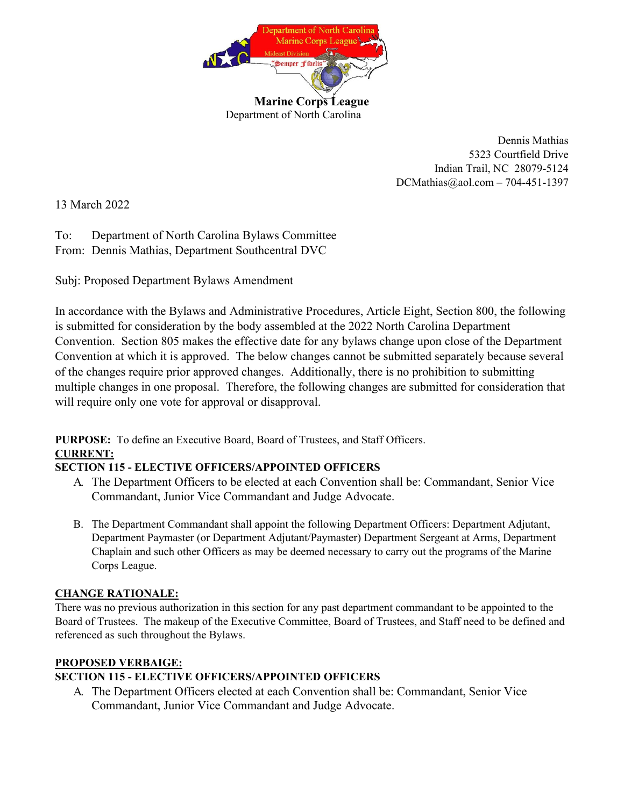

Dennis Mathias 5323 Courtfield Drive Indian Trail, NC 28079-5124 DCMathias@aol.com – 704-451-1397

13 March 2022

To: Department of North Carolina Bylaws Committee From: Dennis Mathias, Department Southcentral DVC

Subj: Proposed Department Bylaws Amendment

In accordance with the Bylaws and Administrative Procedures, Article Eight, Section 800, the following is submitted for consideration by the body assembled at the 2022 North Carolina Department Convention. Section 805 makes the effective date for any bylaws change upon close of the Department Convention at which it is approved. The below changes cannot be submitted separately because several of the changes require prior approved changes. Additionally, there is no prohibition to submitting multiple changes in one proposal. Therefore, the following changes are submitted for consideration that will require only one vote for approval or disapproval.

**PURPOSE:** To define an Executive Board, Board of Trustees, and Staff Officers. **CURRENT:** 

# **SECTION 115 - ELECTIVE OFFICERS/APPOINTED OFFICERS**

- A. The Department Officers to be elected at each Convention shall be: Commandant, Senior Vice Commandant, Junior Vice Commandant and Judge Advocate.
- B. The Department Commandant shall appoint the following Department Officers: Department Adjutant, Department Paymaster (or Department Adjutant/Paymaster) Department Sergeant at Arms, Department Chaplain and such other Officers as may be deemed necessary to carry out the programs of the Marine Corps League.

# **CHANGE RATIONALE:**

There was no previous authorization in this section for any past department commandant to be appointed to the Board of Trustees. The makeup of the Executive Committee, Board of Trustees, and Staff need to be defined and referenced as such throughout the Bylaws.

# **PROPOSED VERBAIGE:**

# **SECTION 115 - ELECTIVE OFFICERS/APPOINTED OFFICERS**

A. The Department Officers elected at each Convention shall be: Commandant, Senior Vice Commandant, Junior Vice Commandant and Judge Advocate.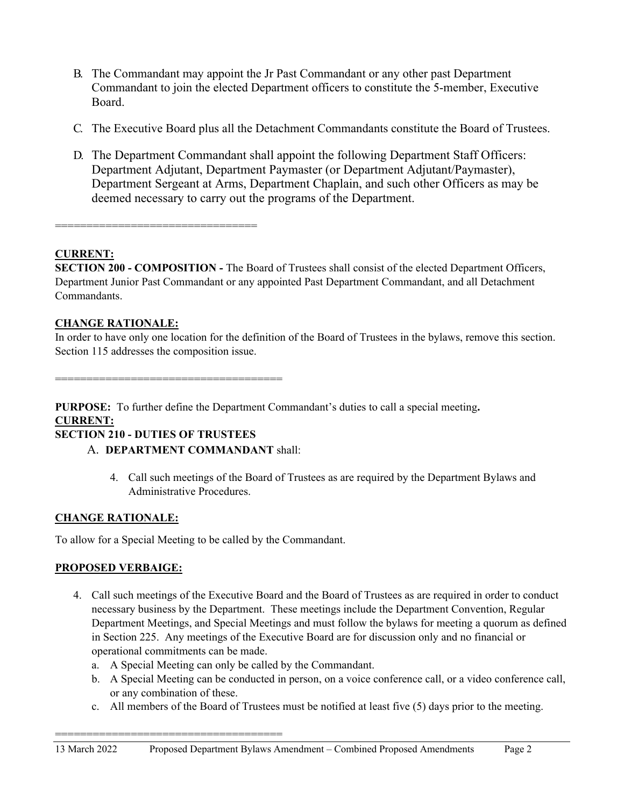- B. The Commandant may appoint the Jr Past Commandant or any other past Department Commandant to join the elected Department officers to constitute the 5-member, Executive Board.
- C. The Executive Board plus all the Detachment Commandants constitute the Board of Trustees.
- D. The Department Commandant shall appoint the following Department Staff Officers: Department Adjutant, Department Paymaster (or Department Adjutant/Paymaster), Department Sergeant at Arms, Department Chaplain, and such other Officers as may be deemed necessary to carry out the programs of the Department.

================================

#### **CURRENT:**

**SECTION 200 - COMPOSITION -** The Board of Trustees shall consist of the elected Department Officers, Department Junior Past Commandant or any appointed Past Department Commandant, and all Detachment Commandants.

#### **CHANGE RATIONALE:**

In order to have only one location for the definition of the Board of Trustees in the bylaws, remove this section. Section 115 addresses the composition issue.

====================================

**PURPOSE:** To further define the Department Commandant's duties to call a special meeting**. CURRENT:** 

#### **SECTION 210 - DUTIES OF TRUSTEES**

- A. **DEPARTMENT COMMANDANT** shall:
	- 4. Call such meetings of the Board of Trustees as are required by the Department Bylaws and Administrative Procedures.

#### **CHANGE RATIONALE:**

To allow for a Special Meeting to be called by the Commandant.

====================================

#### **PROPOSED VERBAIGE:**

- 4. Call such meetings of the Executive Board and the Board of Trustees as are required in order to conduct necessary business by the Department. These meetings include the Department Convention, Regular Department Meetings, and Special Meetings and must follow the bylaws for meeting a quorum as defined in Section 225. Any meetings of the Executive Board are for discussion only and no financial or operational commitments can be made.
	- a. A Special Meeting can only be called by the Commandant.
	- b. A Special Meeting can be conducted in person, on a voice conference call, or a video conference call, or any combination of these.
	- c. All members of the Board of Trustees must be notified at least five (5) days prior to the meeting.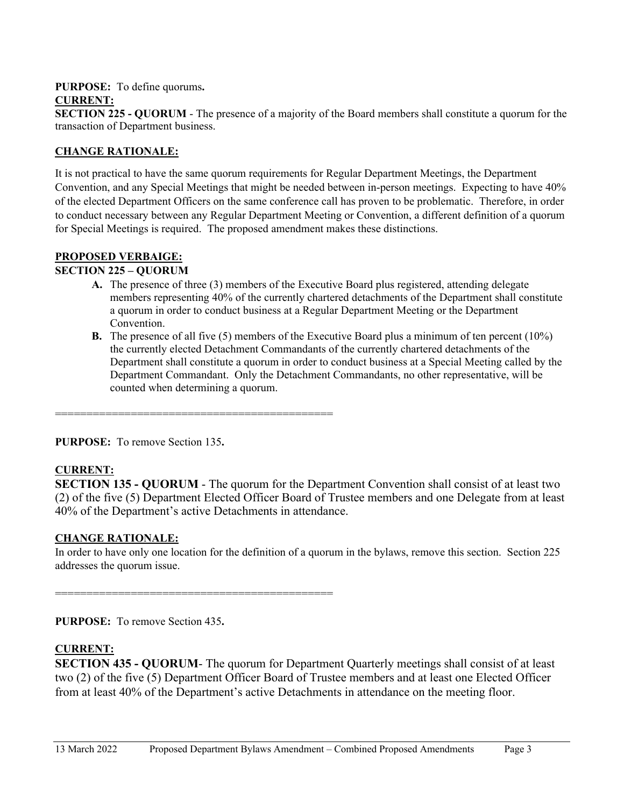## **PURPOSE:** To define quorums**.**

## **CURRENT:**

**SECTION 225 - QUORUM** - The presence of a majority of the Board members shall constitute a quorum for the transaction of Department business.

### **CHANGE RATIONALE:**

It is not practical to have the same quorum requirements for Regular Department Meetings, the Department Convention, and any Special Meetings that might be needed between in-person meetings. Expecting to have 40% of the elected Department Officers on the same conference call has proven to be problematic. Therefore, in order to conduct necessary between any Regular Department Meeting or Convention, a different definition of a quorum for Special Meetings is required. The proposed amendment makes these distinctions.

## **PROPOSED VERBAIGE:**

## **SECTION 225 – QUORUM**

- **A.** The presence of three (3) members of the Executive Board plus registered, attending delegate members representing 40% of the currently chartered detachments of the Department shall constitute a quorum in order to conduct business at a Regular Department Meeting or the Department Convention.
- **B.** The presence of all five (5) members of the Executive Board plus a minimum of ten percent (10%) the currently elected Detachment Commandants of the currently chartered detachments of the Department shall constitute a quorum in order to conduct business at a Special Meeting called by the Department Commandant. Only the Detachment Commandants, no other representative, will be counted when determining a quorum.

============================================

**PURPOSE:** To remove Section 135**.** 

# **CURRENT:**

**SECTION 135 - QUORUM** - The quorum for the Department Convention shall consist of at least two (2) of the five (5) Department Elected Officer Board of Trustee members and one Delegate from at least 40% of the Department's active Detachments in attendance.

#### **CHANGE RATIONALE:**

In order to have only one location for the definition of a quorum in the bylaws, remove this section. Section 225 addresses the quorum issue.

============================================

**PURPOSE:** To remove Section 435**.** 

#### **CURRENT:**

**SECTION 435 - QUORUM-** The quorum for Department Quarterly meetings shall consist of at least two (2) of the five (5) Department Officer Board of Trustee members and at least one Elected Officer from at least 40% of the Department's active Detachments in attendance on the meeting floor.